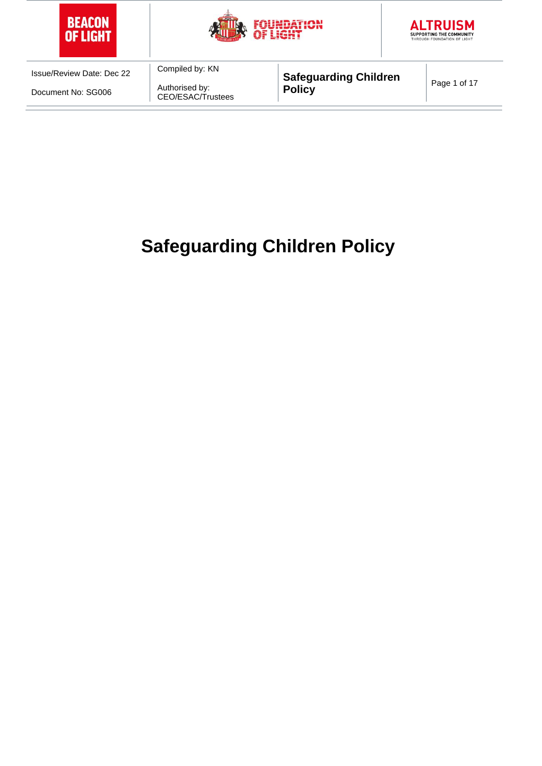





Document No: SG006

Compiled by: KN Authorised by: CEO/ESAC/Trustees

**Safeguarding Children**  Page 1 of 17<br>**Policy** 

# **Safeguarding Children Policy**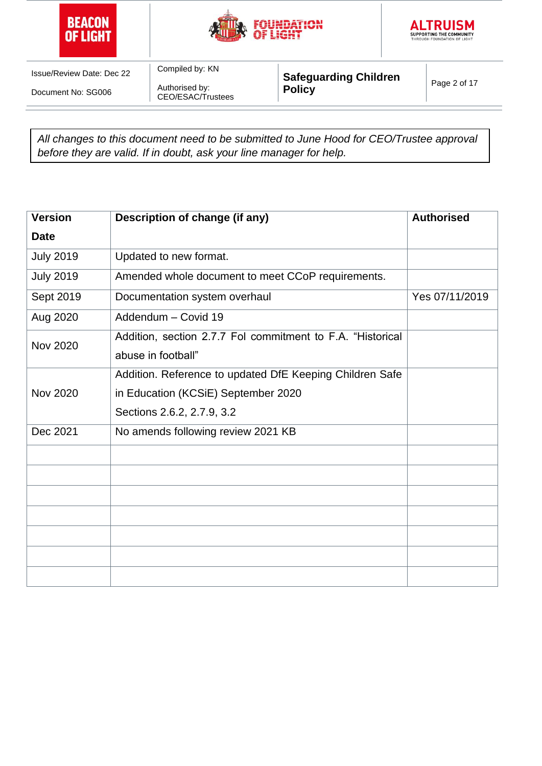





Document No: SG006

Authorised by: CEO/ESAC/Trustees

Compiled by: KN

**Safeguarding Children**  Page 2 of 17<br>**Policy** 

*All changes to this document need to be submitted to June Hood for CEO/Trustee approval before they are valid. If in doubt, ask your line manager for help.*

| <b>Version</b>   | Description of change (if any)                             | <b>Authorised</b> |  |
|------------------|------------------------------------------------------------|-------------------|--|
| <b>Date</b>      |                                                            |                   |  |
| <b>July 2019</b> | Updated to new format.                                     |                   |  |
| <b>July 2019</b> | Amended whole document to meet CCoP requirements.          |                   |  |
| Sept 2019        | Documentation system overhaul                              | Yes 07/11/2019    |  |
| Aug 2020         | Addendum - Covid 19                                        |                   |  |
| <b>Nov 2020</b>  | Addition, section 2.7.7 Fol commitment to F.A. "Historical |                   |  |
|                  | abuse in football"                                         |                   |  |
|                  | Addition. Reference to updated DfE Keeping Children Safe   |                   |  |
| <b>Nov 2020</b>  | in Education (KCSiE) September 2020                        |                   |  |
|                  | Sections 2.6.2, 2.7.9, 3.2                                 |                   |  |
| Dec 2021         | No amends following review 2021 KB                         |                   |  |
|                  |                                                            |                   |  |
|                  |                                                            |                   |  |
|                  |                                                            |                   |  |
|                  |                                                            |                   |  |
|                  |                                                            |                   |  |
|                  |                                                            |                   |  |
|                  |                                                            |                   |  |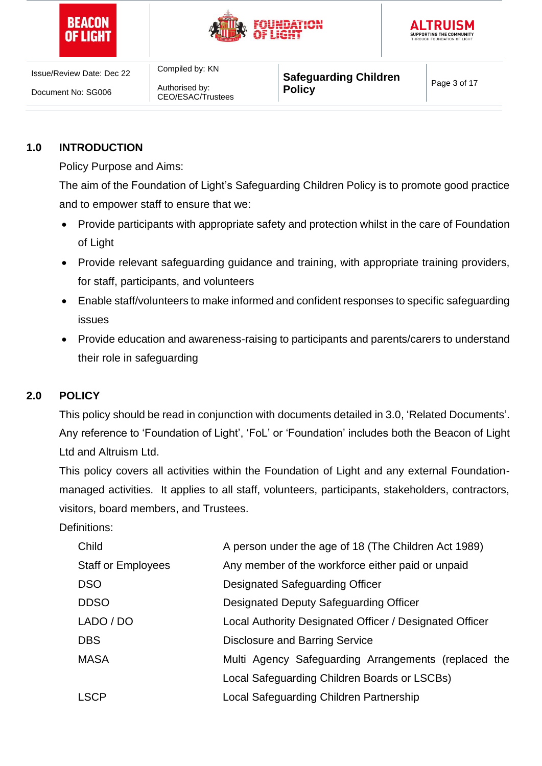





Document No: SG006

Compiled by: KN Authorised by: CEO/ESAC/Trustees

**Safeguarding Children Page 3 of 17**<br>**Policy** 

# **1.0 INTRODUCTION**

Policy Purpose and Aims:

The aim of the Foundation of Light's Safeguarding Children Policy is to promote good practice and to empower staff to ensure that we:

- Provide participants with appropriate safety and protection whilst in the care of Foundation of Light
- Provide relevant safeguarding guidance and training, with appropriate training providers, for staff, participants, and volunteers
- Enable staff/volunteers to make informed and confident responses to specific safeguarding issues
- Provide education and awareness-raising to participants and parents/carers to understand their role in safeguarding

## **2.0 POLICY**

This policy should be read in conjunction with documents detailed in 3.0, 'Related Documents'. Any reference to 'Foundation of Light', 'FoL' or 'Foundation' includes both the Beacon of Light Ltd and Altruism Ltd.

This policy covers all activities within the Foundation of Light and any external Foundationmanaged activities. It applies to all staff, volunteers, participants, stakeholders, contractors, visitors, board members, and Trustees.

Definitions:

| Multi Agency Safeguarding Arrangements (replaced the |
|------------------------------------------------------|
|                                                      |
|                                                      |
|                                                      |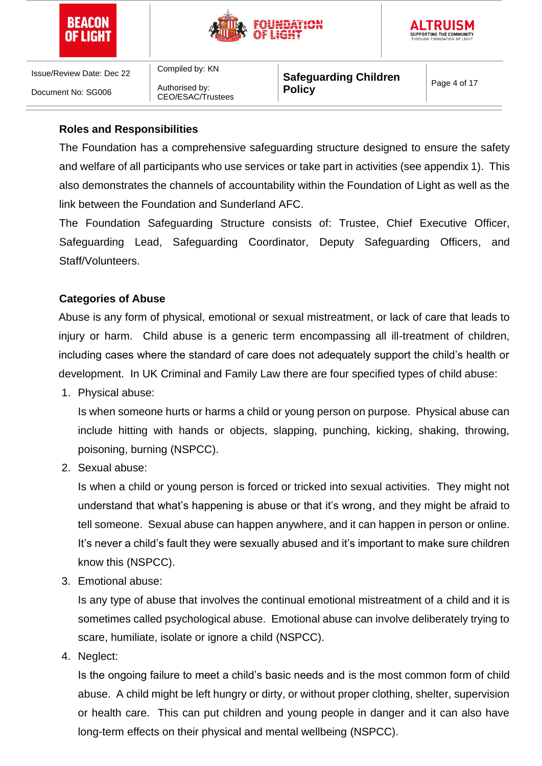





Compiled by: KN Authorised by: CEO/ESAC/Trustees

**Safeguarding Children Policy Policy Page 4 of 17** 

## **Roles and Responsibilities**

The Foundation has a comprehensive safeguarding structure designed to ensure the safety and welfare of all participants who use services or take part in activities (see appendix 1). This also demonstrates the channels of accountability within the Foundation of Light as well as the link between the Foundation and Sunderland AFC.

The Foundation Safeguarding Structure consists of: Trustee, Chief Executive Officer, Safeguarding Lead, Safeguarding Coordinator, Deputy Safeguarding Officers, and Staff/Volunteers.

## **Categories of Abuse**

Abuse is any form of physical, emotional or sexual mistreatment, or lack of care that leads to injury or harm. Child abuse is a generic term encompassing all ill-treatment of children, including cases where the standard of care does not adequately support the child's health or development. In UK Criminal and Family Law there are four specified types of child abuse:

1. Physical abuse:

Is when someone hurts or harms a child or young person on purpose. Physical abuse can include hitting with hands or objects, slapping, punching, kicking, shaking, throwing, poisoning, burning (NSPCC).

2. Sexual abuse:

Is when a child or young person is forced or tricked into sexual activities. They might not understand that what's happening is abuse or that it's wrong, and they might be afraid to tell someone. Sexual abuse can happen anywhere, and it can happen in person or online. It's never a child's fault they were sexually abused and it's important to make sure children know this (NSPCC).

3. Emotional abuse:

Is any type of abuse that involves the continual emotional mistreatment of a child and it is sometimes called psychological abuse. Emotional abuse can involve deliberately trying to scare, humiliate, isolate or ignore a child (NSPCC).

4. Neglect:

Is the ongoing failure to meet a child's basic needs and is the most common form of child abuse. A child might be left hungry or dirty, or without proper clothing, shelter, supervision or health care. This can put children and young people in danger and it can also have long-term effects on their physical and mental wellbeing (NSPCC).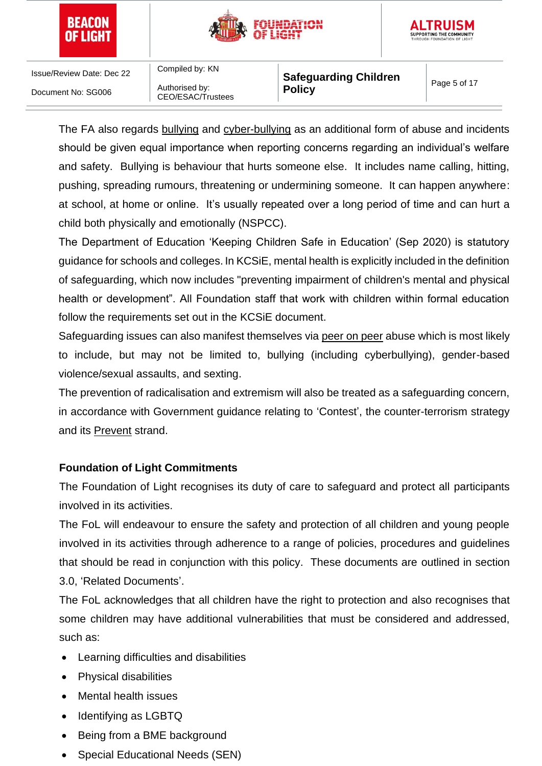





Compiled by: KN Authorised by: CEO/ESAC/Trustees

**Safeguarding Children Page 5 of 17**<br>**Policy** 

The FA also regards bullying and cyber-bullying as an additional form of abuse and incidents should be given equal importance when reporting concerns regarding an individual's welfare and safety. Bullying is behaviour that hurts someone else. It includes name calling, hitting, pushing, spreading rumours, threatening or undermining someone. It can happen anywhere: at school, at home or online. It's usually repeated over a long period of time and can hurt a child both physically and emotionally (NSPCC).

The Department of Education 'Keeping Children Safe in Education' (Sep 2020) is statutory guidance for schools and colleges. In KCSiE, mental health is explicitly included in the definition of safeguarding, which now includes "preventing impairment of children's mental and physical health or development". All Foundation staff that work with children within formal education follow the requirements set out in the KCSiE document.

Safeguarding issues can also manifest themselves via peer on peer abuse which is most likely to include, but may not be limited to, bullying (including cyberbullying), gender-based violence/sexual assaults, and sexting.

The prevention of radicalisation and extremism will also be treated as a safeguarding concern, in accordance with Government guidance relating to 'Contest', the counter-terrorism strategy and its Prevent strand.

# **Foundation of Light Commitments**

The Foundation of Light recognises its duty of care to safeguard and protect all participants involved in its activities.

The FoL will endeavour to ensure the safety and protection of all children and young people involved in its activities through adherence to a range of policies, procedures and guidelines that should be read in conjunction with this policy. These documents are outlined in section 3.0, 'Related Documents'.

The FoL acknowledges that all children have the right to protection and also recognises that some children may have additional vulnerabilities that must be considered and addressed, such as:

- Learning difficulties and disabilities
- Physical disabilities
- Mental health issues
- **Identifying as LGBTQ**
- Being from a BME background
- Special Educational Needs (SEN)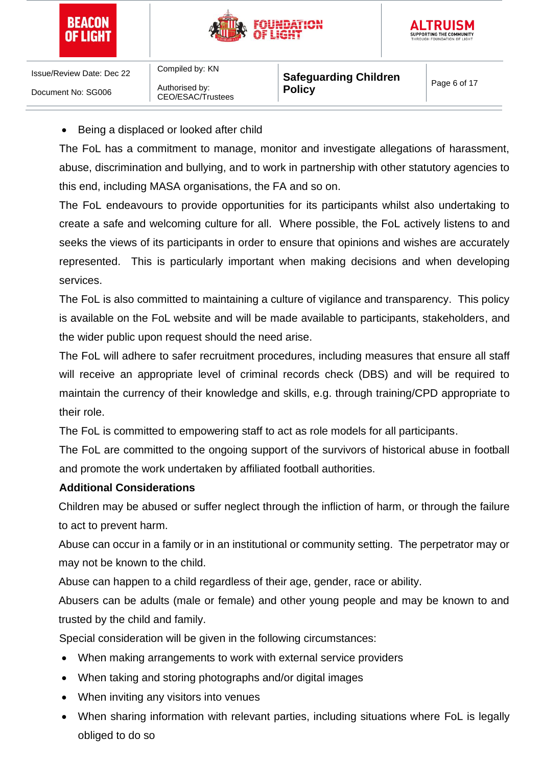





Compiled by: KN Authorised by: CEO/ESAC/Trustees

**Safeguarding Children**  Page 6 of 17<br>**Policy** 

• Being a displaced or looked after child

The FoL has a commitment to manage, monitor and investigate allegations of harassment, abuse, discrimination and bullying, and to work in partnership with other statutory agencies to this end, including MASA organisations, the FA and so on.

The FoL endeavours to provide opportunities for its participants whilst also undertaking to create a safe and welcoming culture for all. Where possible, the FoL actively listens to and seeks the views of its participants in order to ensure that opinions and wishes are accurately represented. This is particularly important when making decisions and when developing services.

The FoL is also committed to maintaining a culture of vigilance and transparency. This policy is available on the FoL website and will be made available to participants, stakeholders, and the wider public upon request should the need arise.

The FoL will adhere to safer recruitment procedures, including measures that ensure all staff will receive an appropriate level of criminal records check (DBS) and will be required to maintain the currency of their knowledge and skills, e.g. through training/CPD appropriate to their role.

The FoL is committed to empowering staff to act as role models for all participants.

The FoL are committed to the ongoing support of the survivors of historical abuse in football and promote the work undertaken by affiliated football authorities.

## **Additional Considerations**

Children may be abused or suffer neglect through the infliction of harm, or through the failure to act to prevent harm.

Abuse can occur in a family or in an institutional or community setting. The perpetrator may or may not be known to the child.

Abuse can happen to a child regardless of their age, gender, race or ability.

Abusers can be adults (male or female) and other young people and may be known to and trusted by the child and family.

Special consideration will be given in the following circumstances:

- When making arrangements to work with external service providers
- When taking and storing photographs and/or digital images
- When inviting any visitors into venues
- When sharing information with relevant parties, including situations where FoL is legally obliged to do so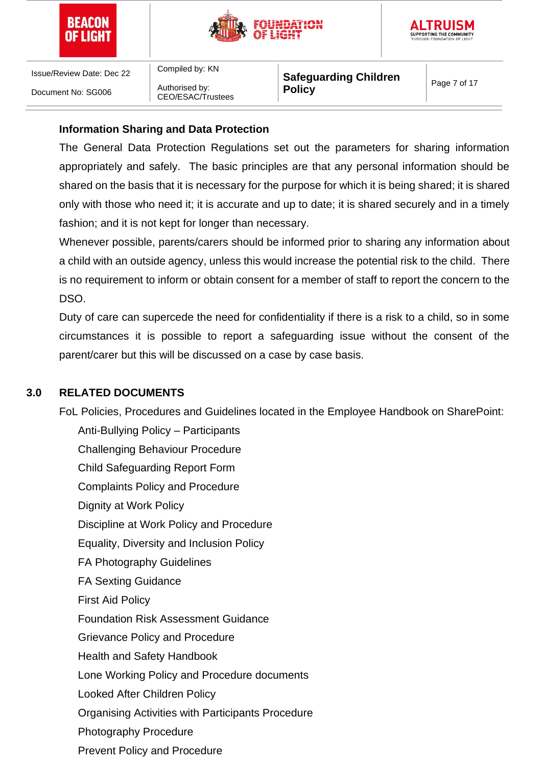





Compiled by: KN Authorised by: CEO/ESAC/Trustees

**Safeguarding Children**  Page 7 of 17<br>**Policy** 

## **Information Sharing and Data Protection**

The General Data Protection Regulations set out the parameters for sharing information appropriately and safely. The basic principles are that any personal information should be shared on the basis that it is necessary for the purpose for which it is being shared; it is shared only with those who need it; it is accurate and up to date; it is shared securely and in a timely fashion; and it is not kept for longer than necessary.

Whenever possible, parents/carers should be informed prior to sharing any information about a child with an outside agency, unless this would increase the potential risk to the child. There is no requirement to inform or obtain consent for a member of staff to report the concern to the DSO.

Duty of care can supercede the need for confidentiality if there is a risk to a child, so in some circumstances it is possible to report a safeguarding issue without the consent of the parent/carer but this will be discussed on a case by case basis.

## **3.0 RELATED DOCUMENTS**

FoL Policies, Procedures and Guidelines located in the Employee Handbook on SharePoint:

Anti-Bullying Policy – Participants Challenging Behaviour Procedure Child Safeguarding Report Form Complaints Policy and Procedure Dignity at Work Policy Discipline at Work Policy and Procedure Equality, Diversity and Inclusion Policy FA Photography Guidelines FA Sexting Guidance First Aid Policy Foundation Risk Assessment Guidance Grievance Policy and Procedure Health and Safety Handbook Lone Working Policy and Procedure documents Looked After Children Policy Organising Activities with Participants Procedure Photography Procedure Prevent Policy and Procedure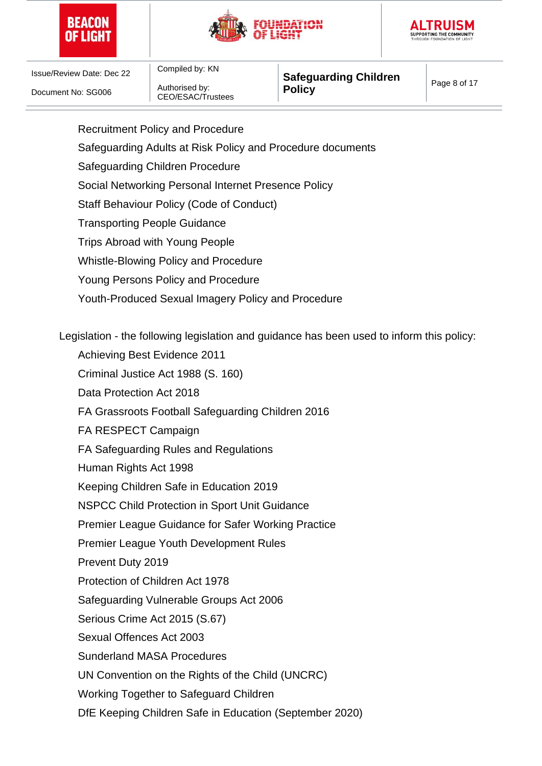





Compiled by: KN Authorised by: CEO/ESAC/Trustees

Safeguarding Adults at Risk Policy and Procedure documents

Recruitment Policy and Procedure

**Safeguarding Children**  Page 8 of 17<br>**Policy** 

Safeguarding Children Procedure Social Networking Personal Internet Presence Policy Staff Behaviour Policy (Code of Conduct) Transporting People Guidance Trips Abroad with Young People Whistle-Blowing Policy and Procedure Young Persons Policy and Procedure Youth-Produced Sexual Imagery Policy and Procedure Legislation - the following legislation and guidance has been used to inform this policy: Achieving Best Evidence 2011 Criminal Justice Act 1988 (S. 160) Data Protection Act 2018 FA Grassroots Football Safeguarding Children 2016 FA RESPECT Campaign FA Safeguarding Rules and Regulations Human Rights Act 1998 Keeping Children Safe in Education 2019 NSPCC Child Protection in Sport Unit Guidance Premier League Guidance for Safer Working Practice Premier League Youth Development Rules Prevent Duty 2019 Protection of Children Act 1978 Safeguarding Vulnerable Groups Act 2006

Serious Crime Act 2015 (S.67)

Sexual Offences Act 2003

Sunderland MASA Procedures

UN Convention on the Rights of the Child (UNCRC)

Working Together to Safeguard Children

DfE Keeping Children Safe in Education (September 2020)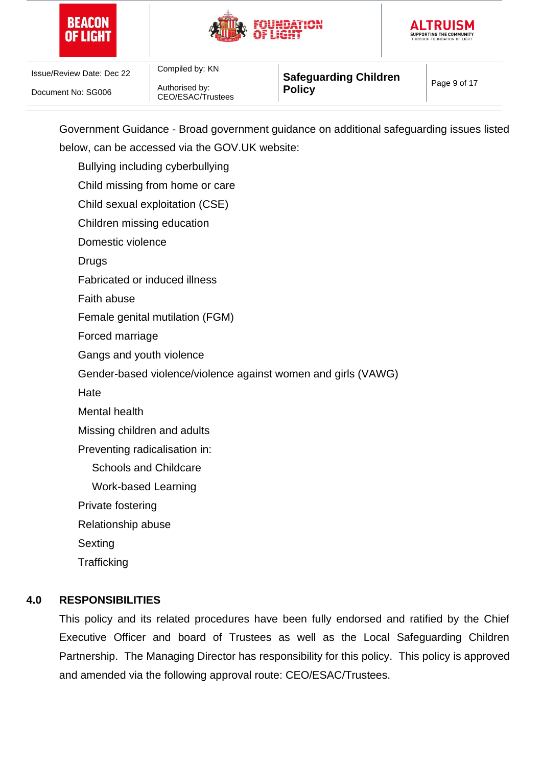





Authorised by: CEO/ESAC/Trustees

Compiled by: KN

**Safeguarding Children Page 9 of 17**<br>**Policy** 

Government Guidance - Broad government guidance on additional safeguarding issues listed below, can be accessed via the GOV.UK website:

Bullying including cyberbullying

Child missing from home or care

Child sexual exploitation (CSE)

Children missing education

Domestic violence

**Drugs** 

Fabricated or induced illness

Faith abuse

Female genital mutilation (FGM)

Forced marriage

Gangs and youth violence

Gender-based violence/violence against women and girls (VAWG)

**Hate** 

Mental health

Missing children and adults

Preventing radicalisation in:

Schools and Childcare

Work-based Learning

Private fostering

Relationship abuse

**Sexting** 

**Trafficking** 

## **4.0 RESPONSIBILITIES**

This policy and its related procedures have been fully endorsed and ratified by the Chief Executive Officer and board of Trustees as well as the Local Safeguarding Children Partnership. The Managing Director has responsibility for this policy. This policy is approved and amended via the following approval route: CEO/ESAC/Trustees.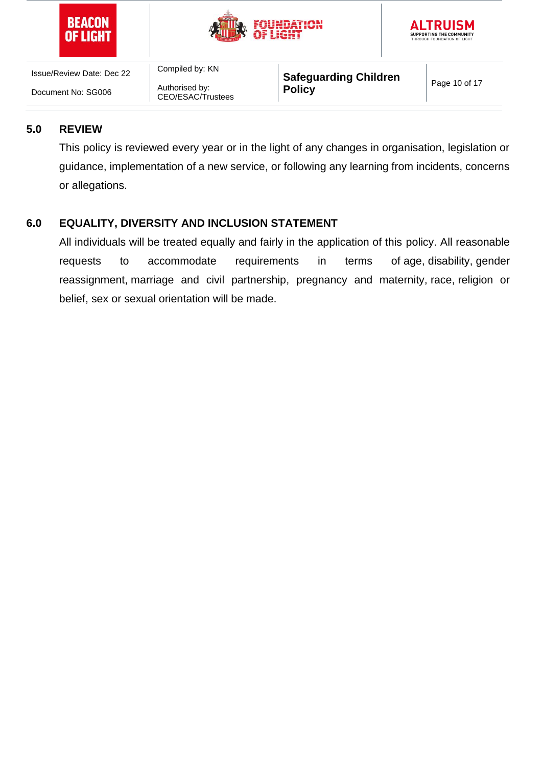





Compiled by: KN Authorised by: CEO/ESAC/Trustees

**Safeguarding Children Page 10 of 17**<br>**Policy** 

## **5.0 REVIEW**

This policy is reviewed every year or in the light of any changes in organisation, legislation or guidance, implementation of a new service, or following any learning from incidents, concerns or allegations.

# **6.0 EQUALITY, DIVERSITY AND INCLUSION STATEMENT**

All individuals will be treated equally and fairly in the application of this policy. All reasonable requests to accommodate requirements in terms of age, disability, [gender](https://www.equalityhumanrights.com/en/equality-act/protected-characteristics#reassignment)  [reassignment,](https://www.equalityhumanrights.com/en/equality-act/protected-characteristics#reassignment) [marriage and civil partnership,](https://www.equalityhumanrights.com/en/equality-act/protected-characteristics#marriage) pregnancy and maternity, [race,](https://www.equalityhumanrights.com/en/equality-act/protected-characteristics#race) [religion or](https://www.equalityhumanrights.com/en/equality-act/protected-characteristics#rob)  [belief,](https://www.equalityhumanrights.com/en/equality-act/protected-characteristics#rob) [sex](https://www.equalityhumanrights.com/en/equality-act/protected-characteristics#sex) or [sexual orientation](https://www.equalityhumanrights.com/en/equality-act/protected-characteristics#lgb) will be made.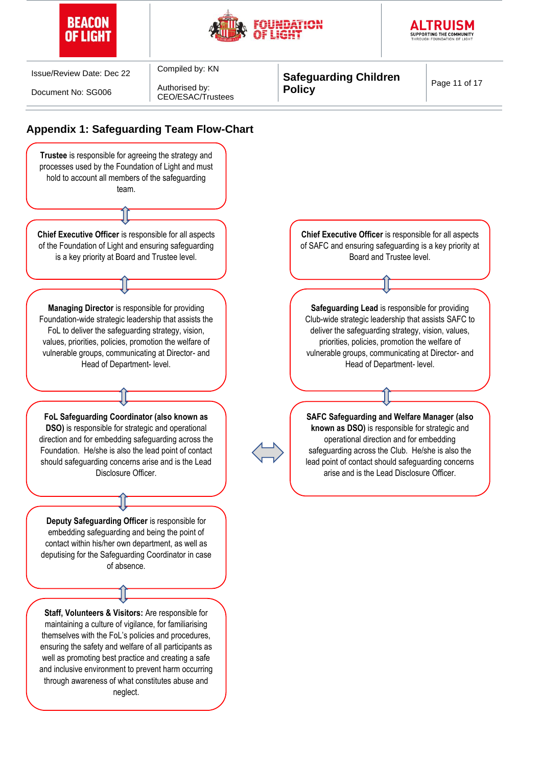





Document No: SG006

Authorised by: CEO/ESAC/Trustees

Compiled by: KN

**Appendix 1: Safeguarding Team Flow-Chart**

**Safeguarding Children Page 11 of 17**<br>**Policy** 

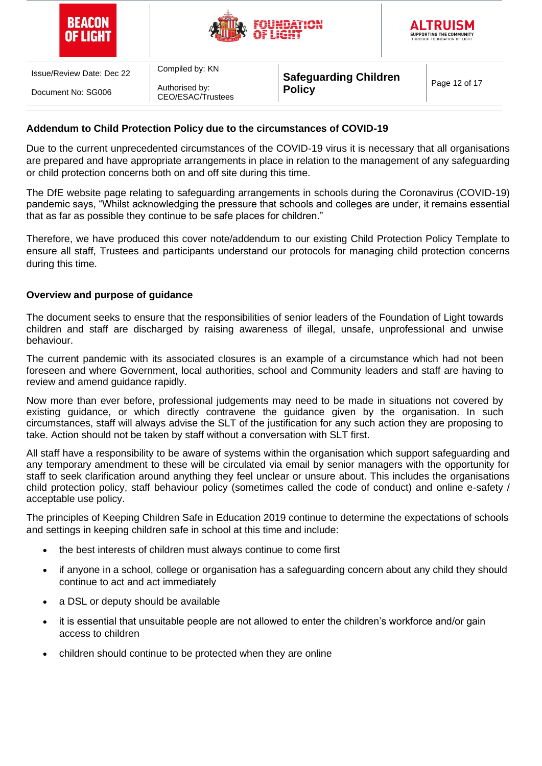| BEACON   |
|----------|
| OF LIGHT |





Authorised by: CEO/ESAC/Trustees

Compiled by: KN

**Safeguarding Children Page 12 of 17**<br>**Policy** 

## **Addendum to Child Protection Policy due to the circumstances of COVID-19**

Due to the current unprecedented circumstances of the COVID-19 virus it is necessary that all organisations are prepared and have appropriate arrangements in place in relation to the management of any safeguarding or child protection concerns both on and off site during this time.

The DfE website page relating to safeguarding arrangements in schools during the Coronavirus (COVID-19) pandemic says, "Whilst acknowledging the pressure that schools and colleges are under, it remains essential that as far as possible they continue to be safe places for children."

Therefore, we have produced this cover note/addendum to our existing Child Protection Policy Template to ensure all staff, Trustees and participants understand our protocols for managing child protection concerns during this time.

## **Overview and purpose of guidance**

The document seeks to ensure that the responsibilities of senior leaders of the Foundation of Light towards children and staff are discharged by raising awareness of illegal, unsafe, unprofessional and unwise behaviour.

The current pandemic with its associated closures is an example of a circumstance which had not been foreseen and where Government, local authorities, school and Community leaders and staff are having to review and amend guidance rapidly.

Now more than ever before, professional judgements may need to be made in situations not covered by existing guidance, or which directly contravene the guidance given by the organisation. In such circumstances, staff will always advise the SLT of the justification for any such action they are proposing to take. Action should not be taken by staff without a conversation with SLT first.

All staff have a responsibility to be aware of systems within the organisation which support safeguarding and any temporary amendment to these will be circulated via email by senior managers with the opportunity for staff to seek clarification around anything they feel unclear or unsure about. This includes the organisations child protection policy, staff behaviour policy (sometimes called the code of conduct) and online e-safety / acceptable use policy.

The principles of Keeping Children Safe in Education 2019 continue to determine the expectations of schools and settings in keeping children safe in school at this time and include:

- the best interests of children must always continue to come first
- if anyone in a school, college or organisation has a safeguarding concern about any child they should continue to act and act immediately
- a DSL or deputy should be available
- it is essential that unsuitable people are not allowed to enter the children's workforce and/or gain access to children
- children should continue to be protected when they are online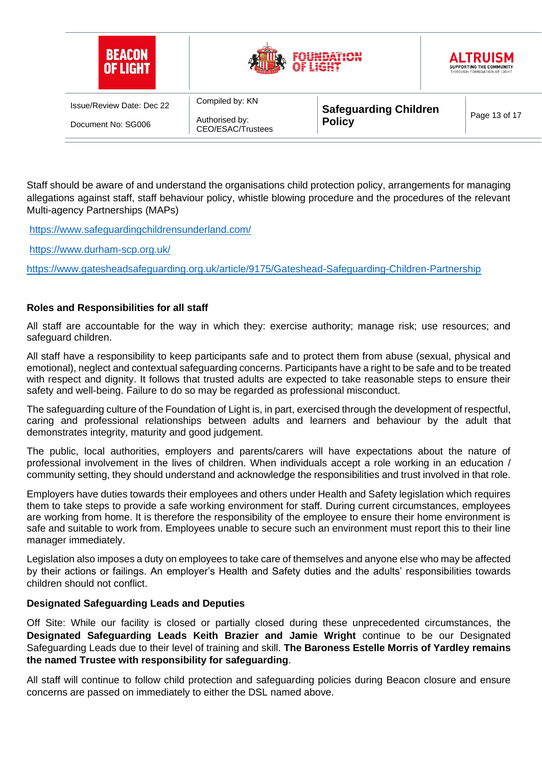| <b>BEACON</b><br><b>OF LIGHT</b> |                                     |                              | <b>ALTRUISM</b><br>SUPPORTING THE COMMUNITY<br>THROUGH FOUNDATION OF LIGHT |
|----------------------------------|-------------------------------------|------------------------------|----------------------------------------------------------------------------|
| <b>Issue/Review Date: Dec 22</b> | Compiled by: KN                     | <b>Safeguarding Children</b> |                                                                            |
| Document No: SG006               | Authorised by:<br>CEO/ESAC/Trustees | <b>Policy</b>                | Page 13 of 17                                                              |

Staff should be aware of and understand the organisations child protection policy, arrangements for managing allegations against staff, staff behaviour policy, whistle blowing procedure and the procedures of the relevant Multi-agency Partnerships (MAPs)

<https://www.safeguardingchildrensunderland.com/>

<https://www.durham-scp.org.uk/>

<https://www.gatesheadsafeguarding.org.uk/article/9175/Gateshead-Safeguarding-Children-Partnership>

#### **Roles and Responsibilities for all staff**

All staff are accountable for the way in which they: exercise authority; manage risk; use resources; and safeguard children.

All staff have a responsibility to keep participants safe and to protect them from abuse (sexual, physical and emotional), neglect and contextual safeguarding concerns. Participants have a right to be safe and to be treated with respect and dignity. It follows that trusted adults are expected to take reasonable steps to ensure their safety and well-being. Failure to do so may be regarded as professional misconduct.

The safeguarding culture of the Foundation of Light is, in part, exercised through the development of respectful, caring and professional relationships between adults and learners and behaviour by the adult that demonstrates integrity, maturity and good judgement.

The public, local authorities, employers and parents/carers will have expectations about the nature of professional involvement in the lives of children. When individuals accept a role working in an education / community setting, they should understand and acknowledge the responsibilities and trust involved in that role.

Employers have duties towards their employees and others under Health and Safety legislation which requires them to take steps to provide a safe working environment for staff. During current circumstances, employees are working from home. It is therefore the responsibility of the employee to ensure their home environment is safe and suitable to work from. Employees unable to secure such an environment must report this to their line manager immediately.

Legislation also imposes a duty on employees to take care of themselves and anyone else who may be affected by their actions or failings. An employer's Health and Safety duties and the adults' responsibilities towards children should not conflict.

#### **Designated Safeguarding Leads and Deputies**

Off Site: While our facility is closed or partially closed during these unprecedented circumstances, the **Designated Safeguarding Leads Keith Brazier and Jamie Wright** continue to be our Designated Safeguarding Leads due to their level of training and skill. **The Baroness Estelle Morris of Yardley remains the named Trustee with responsibility for safeguarding**.

All staff will continue to follow child protection and safeguarding policies during Beacon closure and ensure concerns are passed on immediately to either the DSL named above.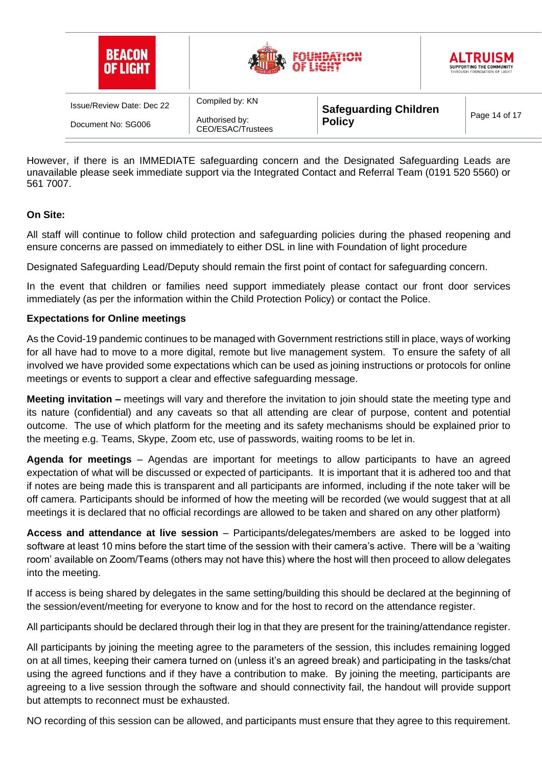

However, if there is an IMMEDIATE safeguarding concern and the Designated Safeguarding Leads are unavailable please seek immediate support via the Integrated Contact and Referral Team (0191 520 5560) or 561 7007.

## **On Site:**

All staff will continue to follow child protection and safeguarding policies during the phased reopening and ensure concerns are passed on immediately to either DSL in line with Foundation of light procedure

Designated Safeguarding Lead/Deputy should remain the first point of contact for safeguarding concern.

In the event that children or families need support immediately please contact our front door services immediately (as per the information within the Child Protection Policy) or contact the Police.

## **Expectations for Online meetings**

As the Covid-19 pandemic continues to be managed with Government restrictions still in place, ways of working for all have had to move to a more digital, remote but live management system. To ensure the safety of all involved we have provided some expectations which can be used as joining instructions or protocols for online meetings or events to support a clear and effective safeguarding message.

**Meeting invitation –** meetings will vary and therefore the invitation to join should state the meeting type and its nature (confidential) and any caveats so that all attending are clear of purpose, content and potential outcome. The use of which platform for the meeting and its safety mechanisms should be explained prior to the meeting e.g. Teams, Skype, Zoom etc, use of passwords, waiting rooms to be let in.

**Agenda for meetings** – Agendas are important for meetings to allow participants to have an agreed expectation of what will be discussed or expected of participants. It is important that it is adhered too and that if notes are being made this is transparent and all participants are informed, including if the note taker will be off camera. Participants should be informed of how the meeting will be recorded (we would suggest that at all meetings it is declared that no official recordings are allowed to be taken and shared on any other platform)

**Access and attendance at live session** – Participants/delegates/members are asked to be logged into software at least 10 mins before the start time of the session with their camera's active. There will be a 'waiting room' available on Zoom/Teams (others may not have this) where the host will then proceed to allow delegates into the meeting.

If access is being shared by delegates in the same setting/building this should be declared at the beginning of the session/event/meeting for everyone to know and for the host to record on the attendance register.

All participants should be declared through their log in that they are present for the training/attendance register.

All participants by joining the meeting agree to the parameters of the session, this includes remaining logged on at all times, keeping their camera turned on (unless it's an agreed break) and participating in the tasks/chat using the agreed functions and if they have a contribution to make. By joining the meeting, participants are agreeing to a live session through the software and should connectivity fail, the handout will provide support but attempts to reconnect must be exhausted.

NO recording of this session can be allowed, and participants must ensure that they agree to this requirement.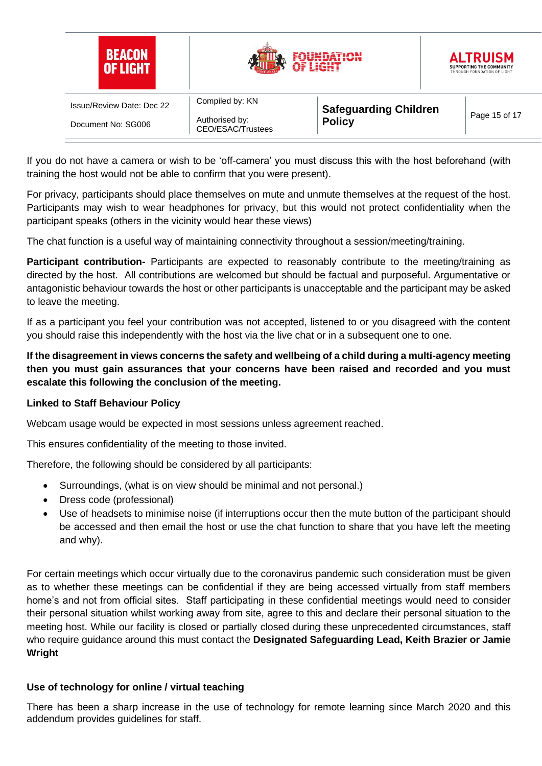| <b>BEACON</b><br>OF LIGHT |                                     | LIGHT                                         |  | <b>ALTRUISM</b><br>SUPPORTING THE COMMUNITY<br>THROUGH FOUNDATION OF LIGHT |
|---------------------------|-------------------------------------|-----------------------------------------------|--|----------------------------------------------------------------------------|
| Issue/Review Date: Dec 22 | Compiled by: KN                     | <b>Safeguarding Children</b><br><b>Policy</b> |  |                                                                            |
| Document No: SG006        | Authorised by:<br>CEO/ESAC/Trustees |                                               |  | Page 15 of 17                                                              |

If you do not have a camera or wish to be 'off-camera' you must discuss this with the host beforehand (with training the host would not be able to confirm that you were present).

For privacy, participants should place themselves on mute and unmute themselves at the request of the host. Participants may wish to wear headphones for privacy, but this would not protect confidentiality when the participant speaks (others in the vicinity would hear these views)

The chat function is a useful way of maintaining connectivity throughout a session/meeting/training.

**Participant contribution-** Participants are expected to reasonably contribute to the meeting/training as directed by the host. All contributions are welcomed but should be factual and purposeful. Argumentative or antagonistic behaviour towards the host or other participants is unacceptable and the participant may be asked to leave the meeting.

If as a participant you feel your contribution was not accepted, listened to or you disagreed with the content you should raise this independently with the host via the live chat or in a subsequent one to one.

**If the disagreement in views concerns the safety and wellbeing of a child during a multi-agency meeting then you must gain assurances that your concerns have been raised and recorded and you must escalate this following the conclusion of the meeting.**

## **Linked to Staff Behaviour Policy**

Webcam usage would be expected in most sessions unless agreement reached.

This ensures confidentiality of the meeting to those invited.

Therefore, the following should be considered by all participants:

- Surroundings, (what is on view should be minimal and not personal.)
- Dress code (professional)
- Use of headsets to minimise noise (if interruptions occur then the mute button of the participant should be accessed and then email the host or use the chat function to share that you have left the meeting and why).

For certain meetings which occur virtually due to the coronavirus pandemic such consideration must be given as to whether these meetings can be confidential if they are being accessed virtually from staff members home's and not from official sites. Staff participating in these confidential meetings would need to consider their personal situation whilst working away from site, agree to this and declare their personal situation to the meeting host. While our facility is closed or partially closed during these unprecedented circumstances, staff who require guidance around this must contact the **Designated Safeguarding Lead, Keith Brazier or Jamie Wright**

## **Use of technology for online / virtual teaching**

There has been a sharp increase in the use of technology for remote learning since March 2020 and this addendum provides guidelines for staff.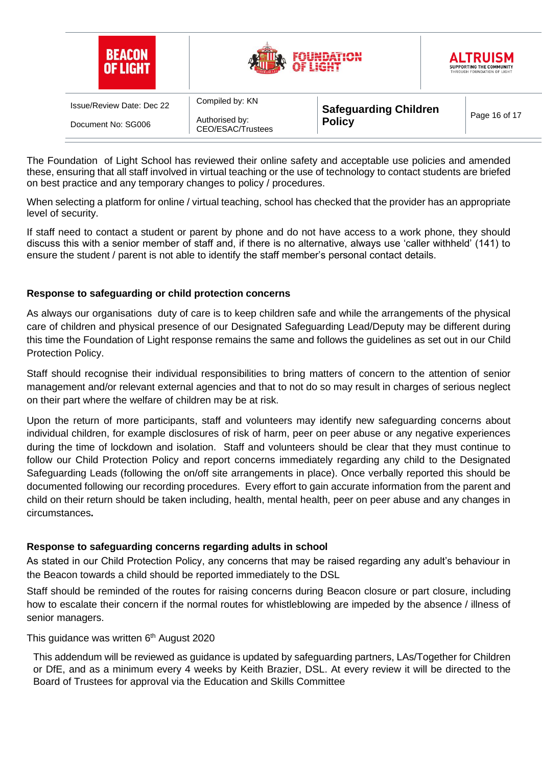| <b>BEACON</b><br>OF LIGHT |                                     | a igut                       | <b>ALTRUISM</b><br>SUPPORTING THE COMMUNITY<br>THROUGH FOUNDATION OF LIGHT |
|---------------------------|-------------------------------------|------------------------------|----------------------------------------------------------------------------|
| Issue/Review Date: Dec 22 | Compiled by: KN                     | <b>Safeguarding Children</b> |                                                                            |
| Document No: SG006        | Authorised by:<br>CEO/ESAC/Trustees | <b>Policy</b>                | Page 16 of 17                                                              |

The Foundation of Light School has reviewed their online safety and acceptable use policies and amended these, ensuring that all staff involved in virtual teaching or the use of technology to contact students are briefed on best practice and any temporary changes to policy / procedures.

When selecting a platform for online / virtual teaching, school has checked that the provider has an appropriate level of security.

If staff need to contact a student or parent by phone and do not have access to a work phone, they should discuss this with a senior member of staff and, if there is no alternative, always use 'caller withheld' (141) to ensure the student / parent is not able to identify the staff member's personal contact details.

## **Response to safeguarding or child protection concerns**

As always our organisations duty of care is to keep children safe and while the arrangements of the physical care of children and physical presence of our Designated Safeguarding Lead/Deputy may be different during this time the Foundation of Light response remains the same and follows the guidelines as set out in our Child Protection Policy.

Staff should recognise their individual responsibilities to bring matters of concern to the attention of senior management and/or relevant external agencies and that to not do so may result in charges of serious neglect on their part where the welfare of children may be at risk.

Upon the return of more participants, staff and volunteers may identify new safeguarding concerns about individual children, for example disclosures of risk of harm, peer on peer abuse or any negative experiences during the time of lockdown and isolation. Staff and volunteers should be clear that they must continue to follow our Child Protection Policy and report concerns immediately regarding any child to the Designated Safeguarding Leads (following the on/off site arrangements in place). Once verbally reported this should be documented following our recording procedures. Every effort to gain accurate information from the parent and child on their return should be taken including, health, mental health, peer on peer abuse and any changes in circumstances**.** 

#### **Response to safeguarding concerns regarding adults in school**

As stated in our Child Protection Policy, any concerns that may be raised regarding any adult's behaviour in the Beacon towards a child should be reported immediately to the DSL

Staff should be reminded of the routes for raising concerns during Beacon closure or part closure, including how to escalate their concern if the normal routes for whistleblowing are impeded by the absence / illness of senior managers.

#### This guidance was written 6<sup>th</sup> August 2020

This addendum will be reviewed as guidance is updated by safeguarding partners, LAs/Together for Children or DfE, and as a minimum every 4 weeks by Keith Brazier, DSL. At every review it will be directed to the Board of Trustees for approval via the Education and Skills Committee